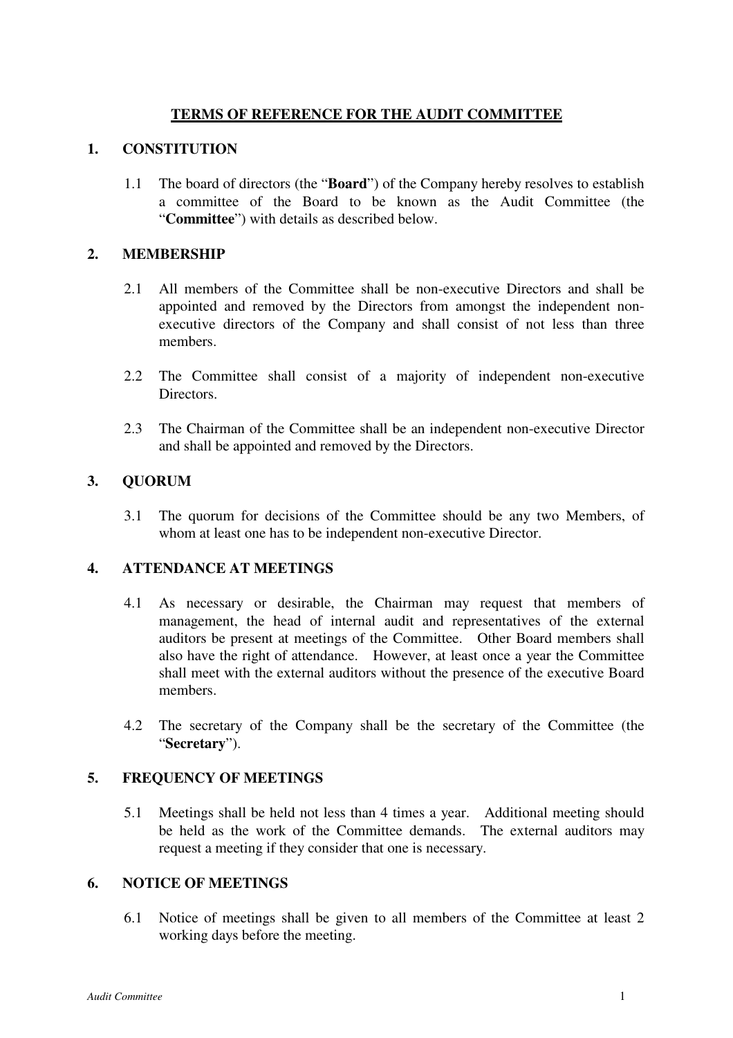## **TERMS OF REFERENCE FOR THE AUDIT COMMITTEE**

### **1. CONSTITUTION**

1.1 The board of directors (the "**Board**") of the Company hereby resolves to establish a committee of the Board to be known as the Audit Committee (the "**Committee**") with details as described below.

### **2. MEMBERSHIP**

- 2.1 All members of the Committee shall be non-executive Directors and shall be appointed and removed by the Directors from amongst the independent nonexecutive directors of the Company and shall consist of not less than three members.
- 2.2 The Committee shall consist of a majority of independent non-executive Directors.
- 2.3 The Chairman of the Committee shall be an independent non-executive Director and shall be appointed and removed by the Directors.

## **3. QUORUM**

3.1 The quorum for decisions of the Committee should be any two Members, of whom at least one has to be independent non-executive Director.

## **4. ATTENDANCE AT MEETINGS**

- 4.1 As necessary or desirable, the Chairman may request that members of management, the head of internal audit and representatives of the external auditors be present at meetings of the Committee. Other Board members shall also have the right of attendance. However, at least once a year the Committee shall meet with the external auditors without the presence of the executive Board members.
- 4.2 The secretary of the Company shall be the secretary of the Committee (the "**Secretary**").

## **5. FREQUENCY OF MEETINGS**

5.1 Meetings shall be held not less than 4 times a year. Additional meeting should be held as the work of the Committee demands. The external auditors may request a meeting if they consider that one is necessary.

#### **6. NOTICE OF MEETINGS**

6.1 Notice of meetings shall be given to all members of the Committee at least 2 working days before the meeting.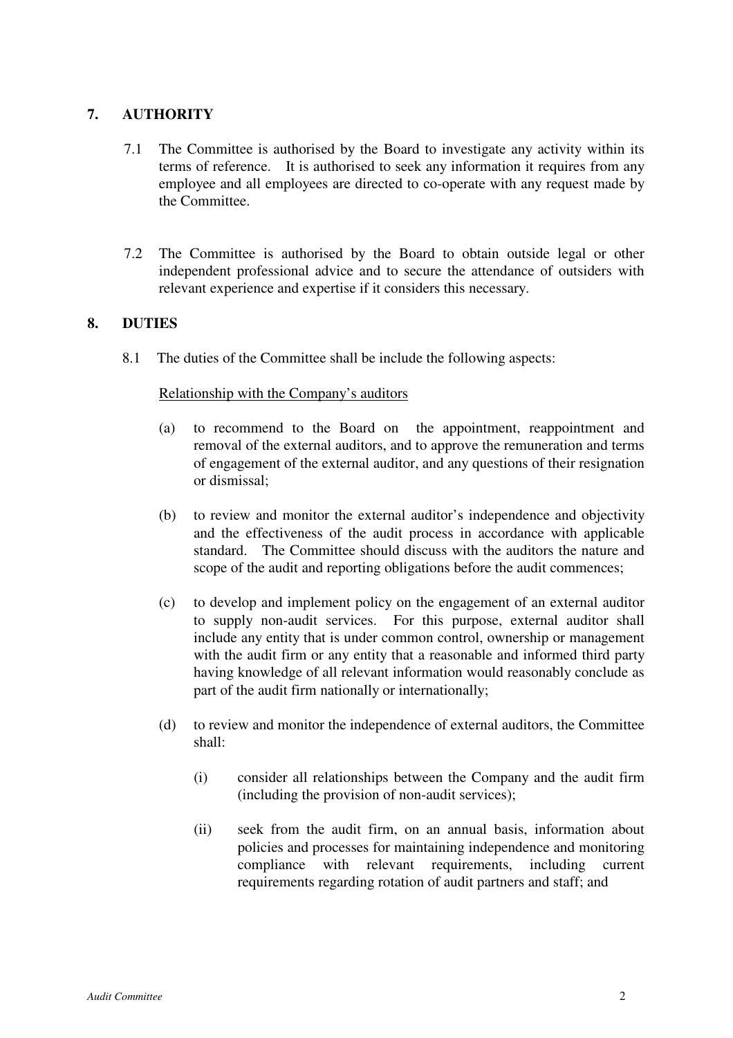## **7. AUTHORITY**

- 7.1 The Committee is authorised by the Board to investigate any activity within its terms of reference. It is authorised to seek any information it requires from any employee and all employees are directed to co-operate with any request made by the Committee.
- 7.2 The Committee is authorised by the Board to obtain outside legal or other independent professional advice and to secure the attendance of outsiders with relevant experience and expertise if it considers this necessary.

# **8. DUTIES**

8.1 The duties of the Committee shall be include the following aspects:

## Relationship with the Company's auditors

- (a) to recommend to the Board on the appointment, reappointment and removal of the external auditors, and to approve the remuneration and terms of engagement of the external auditor, and any questions of their resignation or dismissal;
- (b) to review and monitor the external auditor's independence and objectivity and the effectiveness of the audit process in accordance with applicable standard. The Committee should discuss with the auditors the nature and scope of the audit and reporting obligations before the audit commences;
- (c) to develop and implement policy on the engagement of an external auditor to supply non-audit services. For this purpose, external auditor shall include any entity that is under common control, ownership or management with the audit firm or any entity that a reasonable and informed third party having knowledge of all relevant information would reasonably conclude as part of the audit firm nationally or internationally;
- (d) to review and monitor the independence of external auditors, the Committee shall:
	- (i) consider all relationships between the Company and the audit firm (including the provision of non-audit services);
	- (ii) seek from the audit firm, on an annual basis, information about policies and processes for maintaining independence and monitoring compliance with relevant requirements, including current requirements regarding rotation of audit partners and staff; and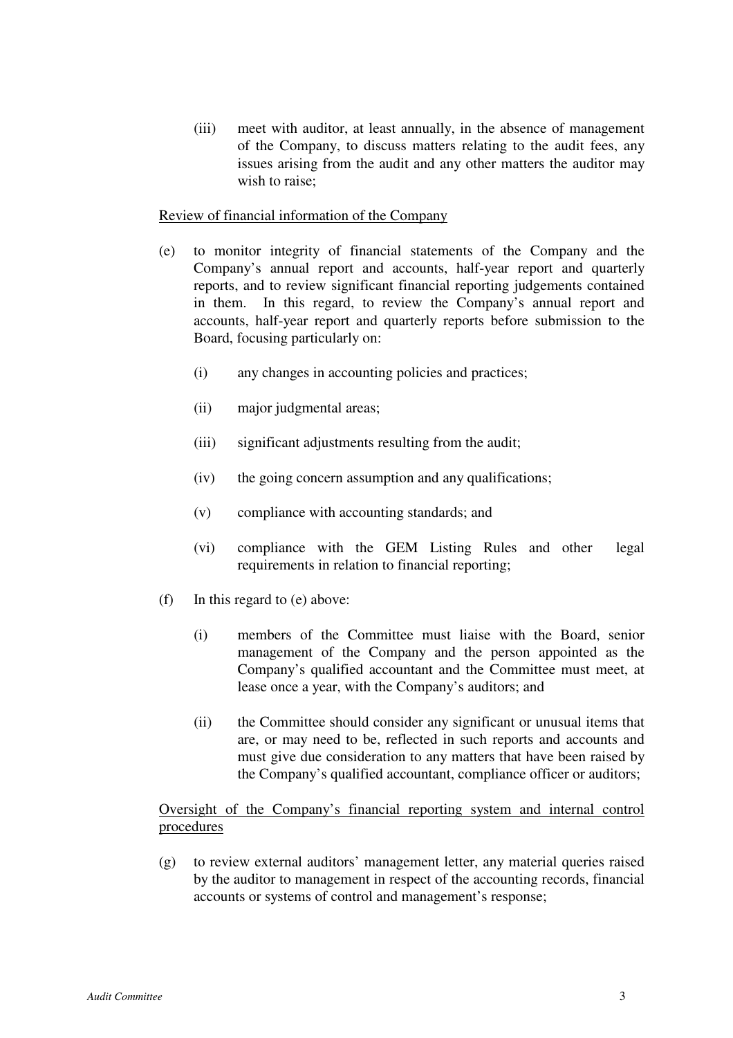(iii) meet with auditor, at least annually, in the absence of management of the Company, to discuss matters relating to the audit fees, any issues arising from the audit and any other matters the auditor may wish to raise;

#### Review of financial information of the Company

- (e) to monitor integrity of financial statements of the Company and the Company's annual report and accounts, half-year report and quarterly reports, and to review significant financial reporting judgements contained in them. In this regard, to review the Company's annual report and accounts, half-year report and quarterly reports before submission to the Board, focusing particularly on:
	- (i) any changes in accounting policies and practices;
	- (ii) major judgmental areas;
	- (iii) significant adjustments resulting from the audit;
	- (iv) the going concern assumption and any qualifications;
	- (v) compliance with accounting standards; and
	- (vi) compliance with the GEM Listing Rules and other legal requirements in relation to financial reporting;
- (f) In this regard to (e) above:
	- (i) members of the Committee must liaise with the Board, senior management of the Company and the person appointed as the Company's qualified accountant and the Committee must meet, at lease once a year, with the Company's auditors; and
	- (ii) the Committee should consider any significant or unusual items that are, or may need to be, reflected in such reports and accounts and must give due consideration to any matters that have been raised by the Company's qualified accountant, compliance officer or auditors;

## Oversight of the Company's financial reporting system and internal control procedures

(g) to review external auditors' management letter, any material queries raised by the auditor to management in respect of the accounting records, financial accounts or systems of control and management's response;